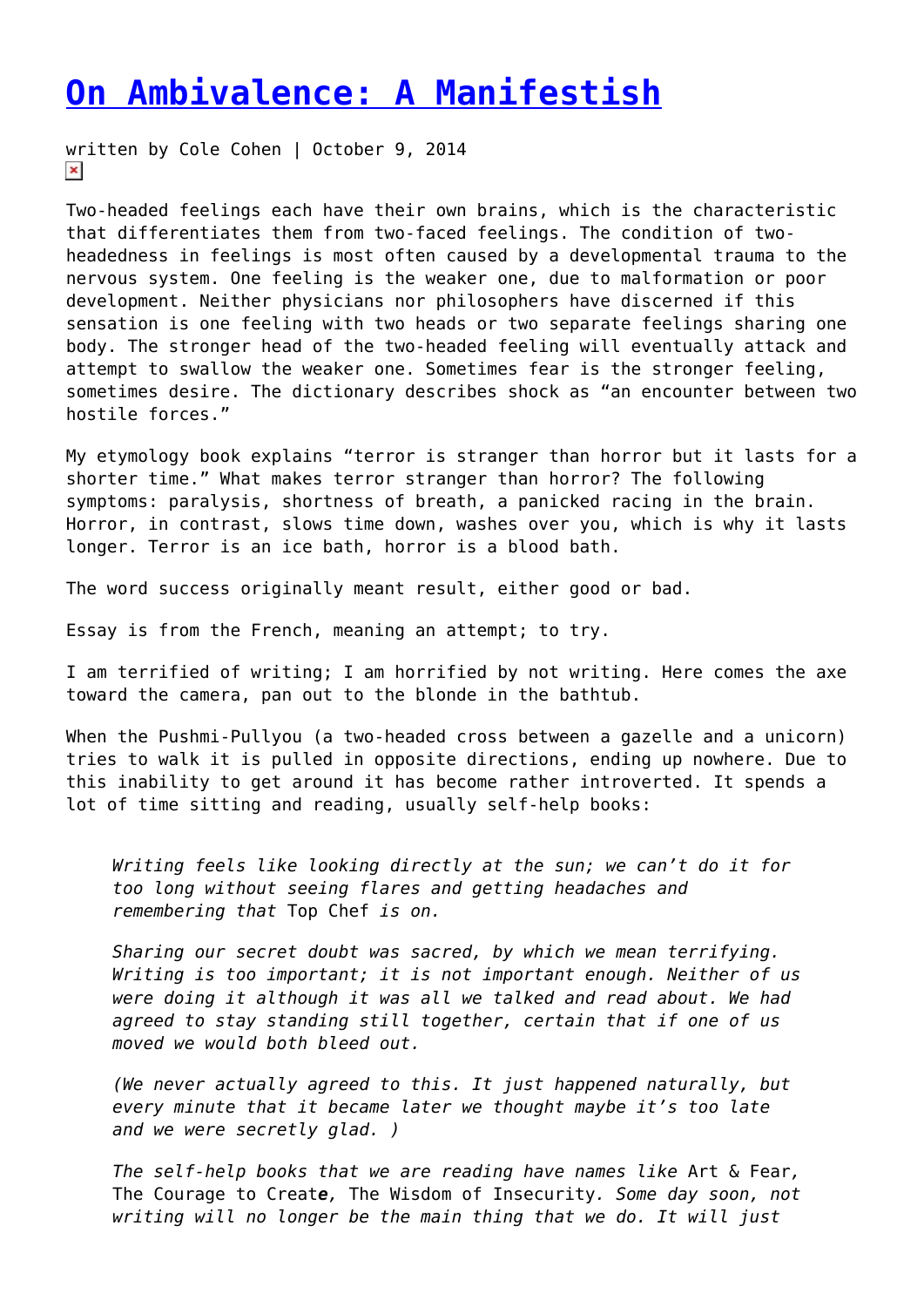## **[On Ambivalence: A Manifestish](https://entropymag.org/on-ambivalence-a-manifestish/)**

written by Cole Cohen | October 9, 2014  $\pmb{\times}$ 

Two-headed feelings each have their own brains, which is the characteristic that differentiates them from two-faced feelings. The condition of twoheadedness in feelings is most often caused by a developmental trauma to the nervous system. One feeling is the weaker one, due to malformation or poor development. Neither physicians nor philosophers have discerned if this sensation is one feeling with two heads or two separate feelings sharing one body. The stronger head of the two-headed feeling will eventually attack and attempt to swallow the weaker one. Sometimes fear is the stronger feeling, sometimes desire. The dictionary describes shock as "an encounter between two hostile forces."

My etymology book explains "terror is stranger than horror but it lasts for a shorter time." What makes terror stranger than horror? The following symptoms: paralysis, shortness of breath, a panicked racing in the brain. Horror, in contrast, slows time down, washes over you, which is why it lasts longer. Terror is an ice bath, horror is a blood bath.

The word success originally meant result, either good or bad.

Essay is from the French, meaning an attempt; to try.

I am terrified of writing; I am horrified by not writing. Here comes the axe toward the camera, pan out to the blonde in the bathtub.

When the Pushmi-Pullyou (a two-headed cross between a gazelle and a unicorn) tries to walk it is pulled in opposite directions, ending up nowhere. Due to this inability to get around it has become rather introverted. It spends a lot of time sitting and reading, usually self-help books:

*Writing feels like looking directly at the sun; we can't do it for too long without seeing flares and getting headaches and remembering that* Top Chef *is on.*

*Sharing our secret doubt was sacred, by which we mean terrifying. Writing is too important; it is not important enough. Neither of us were doing it although it was all we talked and read about. We had agreed to stay standing still together, certain that if one of us moved we would both bleed out.*

*(We never actually agreed to this. It just happened naturally, but every minute that it became later we thought maybe it's too late and we were secretly glad. )*

*The self-help books that we are reading have names like* Art & Fear*,* The Courage to Creat*e,* The Wisdom of Insecurity*. Some day soon, not writing will no longer be the main thing that we do. It will just*